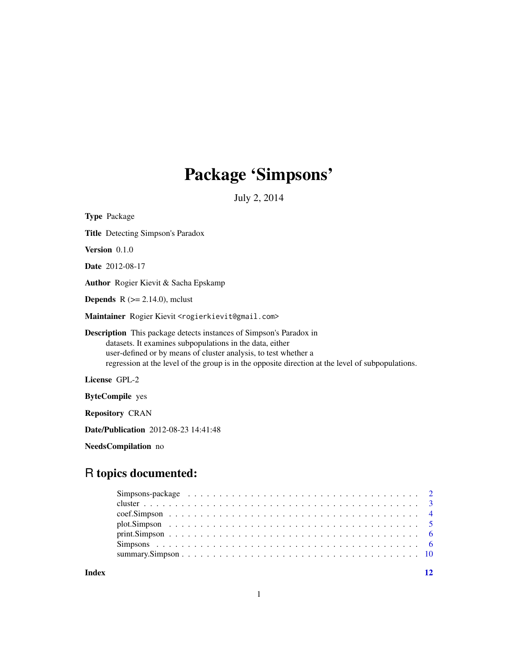# Package 'Simpsons'

July 2, 2014

| <b>Type Package</b>                                                                                                                                                                                                                                                                                           |
|---------------------------------------------------------------------------------------------------------------------------------------------------------------------------------------------------------------------------------------------------------------------------------------------------------------|
| <b>Title</b> Detecting Simpson's Paradox                                                                                                                                                                                                                                                                      |
| <b>Version</b> $0.1.0$                                                                                                                                                                                                                                                                                        |
| <b>Date</b> 2012-08-17                                                                                                                                                                                                                                                                                        |
| <b>Author</b> Rogier Kievit & Sacha Epskamp                                                                                                                                                                                                                                                                   |
| <b>Depends</b> $R$ ( $>= 2.14.0$ ), mclust                                                                                                                                                                                                                                                                    |
| Maintainer Rogier Kievit <rogierkievit@gmail.com></rogierkievit@gmail.com>                                                                                                                                                                                                                                    |
| <b>Description</b> This package detects instances of Simpson's Paradox in<br>datasets. It examines subpopulations in the data, either<br>user-defined or by means of cluster analysis, to test whether a<br>regression at the level of the group is in the opposite direction at the level of subpopulations. |
| License GPL-2                                                                                                                                                                                                                                                                                                 |
| <b>ByteCompile</b> yes                                                                                                                                                                                                                                                                                        |
| <b>Repository CRAN</b>                                                                                                                                                                                                                                                                                        |
| <b>Date/Publication</b> 2012-08-23 14:41:48                                                                                                                                                                                                                                                                   |

NeedsCompilation no

# R topics documented:

**Index** [12](#page-11-0)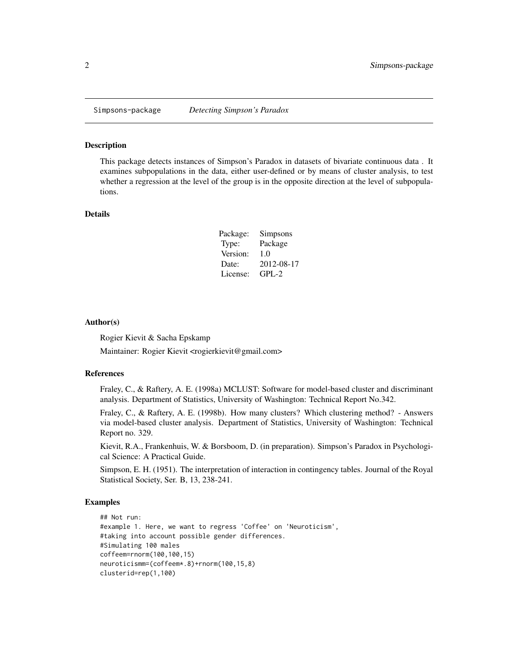<span id="page-1-0"></span>

#### Description

This package detects instances of Simpson's Paradox in datasets of bivariate continuous data . It examines subpopulations in the data, either user-defined or by means of cluster analysis, to test whether a regression at the level of the group is in the opposite direction at the level of subpopulations.

### Details

| Package: | Simpsons   |
|----------|------------|
| Type:    | Package    |
| Version: | 1.0        |
| Date:    | 2012-08-17 |
| License: | $GPL-2$    |

# Author(s)

Rogier Kievit & Sacha Epskamp Maintainer: Rogier Kievit <rogierkievit@gmail.com>

#### References

Fraley, C., & Raftery, A. E. (1998a) MCLUST: Software for model-based cluster and discriminant analysis. Department of Statistics, University of Washington: Technical Report No.342.

Fraley, C., & Raftery, A. E. (1998b). How many clusters? Which clustering method? - Answers via model-based cluster analysis. Department of Statistics, University of Washington: Technical Report no. 329.

Kievit, R.A., Frankenhuis, W. & Borsboom, D. (in preparation). Simpson's Paradox in Psychological Science: A Practical Guide.

Simpson, E. H. (1951). The interpretation of interaction in contingency tables. Journal of the Royal Statistical Society, Ser. B, 13, 238-241.

# Examples

```
## Not run:
#example 1. Here, we want to regress 'Coffee' on 'Neuroticism',
#taking into account possible gender differences.
#Simulating 100 males
coffeem=rnorm(100,100,15)
neuroticismm=(coffeem*.8)+rnorm(100,15,8)
clusterid=rep(1,100)
```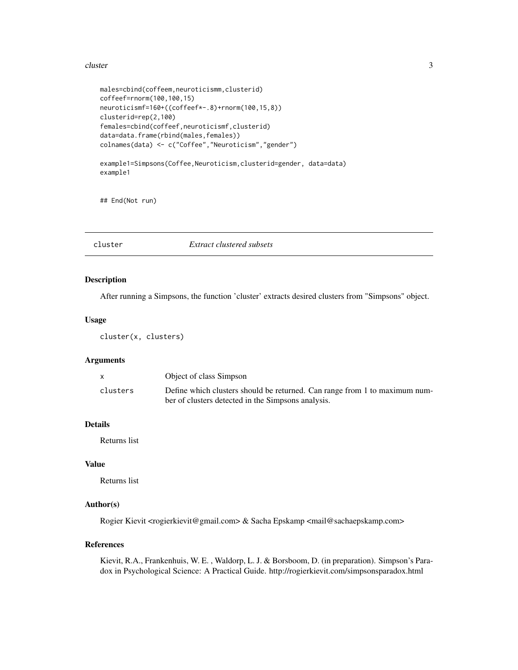#### <span id="page-2-0"></span>cluster 3

```
males=cbind(coffeem,neuroticismm,clusterid)
coffeef=rnorm(100,100,15)
neuroticismf=160+((coffeef*-.8)+rnorm(100,15,8))
clusterid=rep(2,100)
females=cbind(coffeef,neuroticismf,clusterid)
data=data.frame(rbind(males,females))
colnames(data) <- c("Coffee","Neuroticism","gender")
example1=Simpsons(Coffee,Neuroticism,clusterid=gender, data=data)
example1
```
## End(Not run)

cluster *Extract clustered subsets*

# Description

After running a Simpsons, the function 'cluster' extracts desired clusters from "Simpsons" object.

# Usage

cluster(x, clusters)

### Arguments

|          | Object of class Simpson                                                    |
|----------|----------------------------------------------------------------------------|
| clusters | Define which clusters should be returned. Can range from 1 to maximum num- |
|          | ber of clusters detected in the Simpsons analysis.                         |

# Details

Returns list

#### Value

Returns list

# Author(s)

Rogier Kievit <rogierkievit@gmail.com> & Sacha Epskamp <mail@sachaepskamp.com>

# References

Kievit, R.A., Frankenhuis, W. E. , Waldorp, L. J. & Borsboom, D. (in preparation). Simpson's Paradox in Psychological Science: A Practical Guide. http://rogierkievit.com/simpsonsparadox.html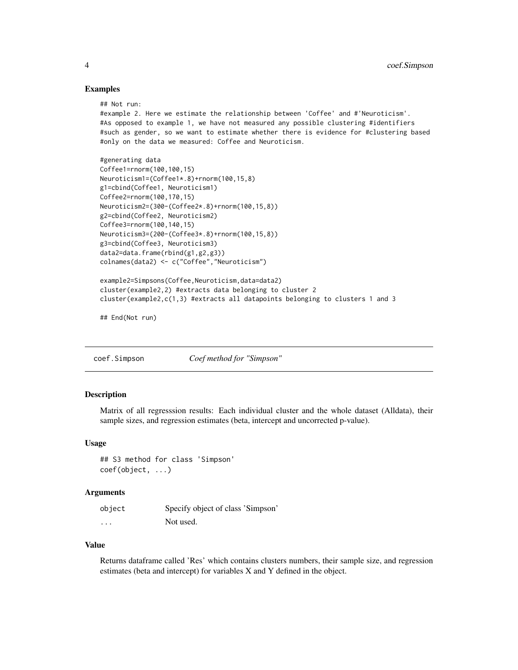#### Examples

## Not run:

```
#example 2. Here we estimate the relationship between 'Coffee' and #'Neuroticism'.
#As opposed to example 1, we have not measured any possible clustering #identifiers
#such as gender, so we want to estimate whether there is evidence for #clustering based
#only on the data we measured: Coffee and Neuroticism.
#generating data
Coffee1=rnorm(100,100,15)
Neuroticism1=(Coffee1*.8)+rnorm(100,15,8)
g1=cbind(Coffee1, Neuroticism1)
Coffee2=rnorm(100,170,15)
Neuroticism2=(300-(Coffee2*.8)+rnorm(100,15,8))
g2=cbind(Coffee2, Neuroticism2)
Coffee3=rnorm(100,140,15)
Neuroticism3=(200-(Coffee3*.8)+rnorm(100,15,8))
g3=cbind(Coffee3, Neuroticism3)
data2=data.frame(rbind(g1,g2,g3))
colnames(data2) <- c("Coffee","Neuroticism")
example2=Simpsons(Coffee,Neuroticism,data=data2)
cluster(example2,2) #extracts data belonging to cluster 2
```
cluster(example2,c(1,3) #extracts all datapoints belonging to clusters 1 and 3

## End(Not run)

coef.Simpson *Coef method for "Simpson"*

#### **Description**

Matrix of all regresssion results: Each individual cluster and the whole dataset (Alldata), their sample sizes, and regression estimates (beta, intercept and uncorrected p-value).

#### Usage

## S3 method for class 'Simpson' coef(object, ...)

#### **Arguments**

| object   | Specify object of class 'Simpson' |
|----------|-----------------------------------|
| $\cdots$ | Not used.                         |

# Value

Returns dataframe called 'Res' which contains clusters numbers, their sample size, and regression estimates (beta and intercept) for variables X and Y defined in the object.

<span id="page-3-0"></span>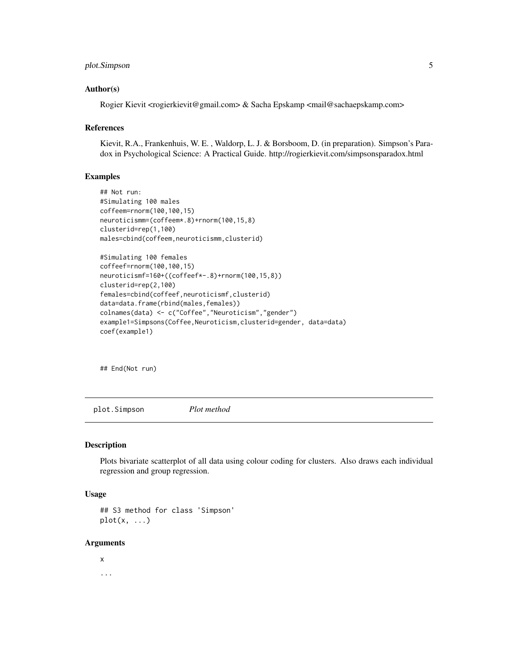# <span id="page-4-0"></span>plot.Simpson 5

### Author(s)

Rogier Kievit <rogierkievit@gmail.com> & Sacha Epskamp <mail@sachaepskamp.com>

#### References

Kievit, R.A., Frankenhuis, W. E. , Waldorp, L. J. & Borsboom, D. (in preparation). Simpson's Paradox in Psychological Science: A Practical Guide. http://rogierkievit.com/simpsonsparadox.html

# Examples

```
## Not run:
#Simulating 100 males
coffeem=rnorm(100,100,15)
neuroticismm=(coffeem*.8)+rnorm(100,15,8)
clusterid=rep(1,100)
males=cbind(coffeem,neuroticismm,clusterid)
#Simulating 100 females
coffeef=rnorm(100,100,15)
neuroticismf=160+((coffeef*-.8)+rnorm(100,15,8))
clusterid=rep(2,100)
females=cbind(coffeef,neuroticismf,clusterid)
data=data.frame(rbind(males,females))
```
example1=Simpsons(Coffee,Neuroticism,clusterid=gender, data=data)

colnames(data) <- c("Coffee","Neuroticism","gender")

## End(Not run)

coef(example1)

plot.Simpson *Plot method*

#### Description

Plots bivariate scatterplot of all data using colour coding for clusters. Also draws each individual regression and group regression.

#### Usage

## S3 method for class 'Simpson'  $plot(x, \ldots)$ 

#### Arguments

x ...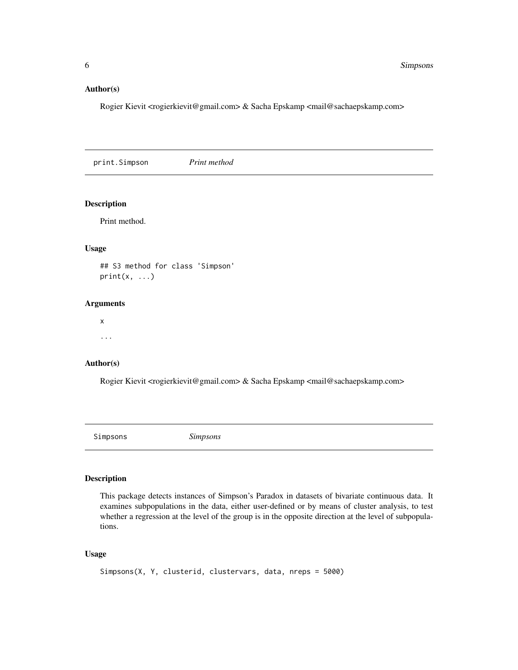# <span id="page-5-0"></span>Author(s)

Rogier Kievit <rogierkievit@gmail.com> & Sacha Epskamp <mail@sachaepskamp.com>

print.Simpson *Print method*

#### Description

Print method.

# Usage

## S3 method for class 'Simpson'  $print(x, \ldots)$ 

#### Arguments

x ...

### Author(s)

Rogier Kievit <rogierkievit@gmail.com> & Sacha Epskamp <mail@sachaepskamp.com>

Simpsons *Simpsons*

# Description

This package detects instances of Simpson's Paradox in datasets of bivariate continuous data. It examines subpopulations in the data, either user-defined or by means of cluster analysis, to test whether a regression at the level of the group is in the opposite direction at the level of subpopulations.

# Usage

```
Simpsons(X, Y, clusterid, clustervars, data, nreps = 5000)
```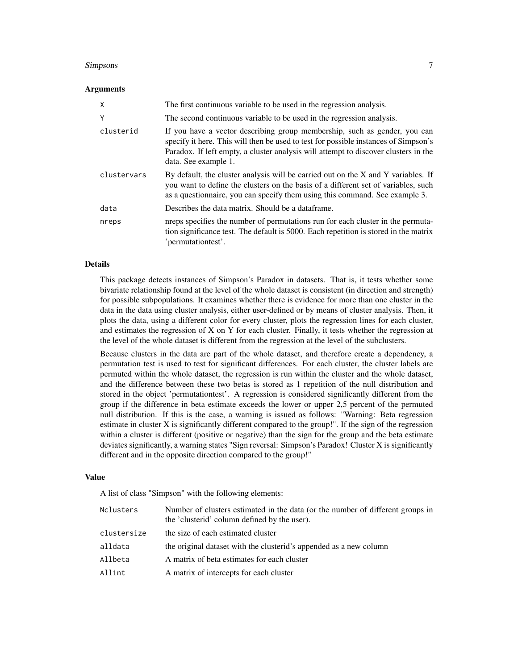#### Simpsons 7 and 2008 and 2008 and 2008 and 2008 and 2008 and 2008 and 2008 and 2008 and 2008 and 2008 and 2008 and 2008 and 2008 and 2008 and 2008 and 2008 and 2008 and 2008 and 2008 and 2008 and 2008 and 2008 and 2008 and

#### Arguments

| X           | The first continuous variable to be used in the regression analysis.                                                                                                                                                                                                            |
|-------------|---------------------------------------------------------------------------------------------------------------------------------------------------------------------------------------------------------------------------------------------------------------------------------|
| Υ           | The second continuous variable to be used in the regression analysis.                                                                                                                                                                                                           |
| clusterid   | If you have a vector describing group membership, such as gender, you can<br>specify it here. This will then be used to test for possible instances of Simpson's<br>Paradox. If left empty, a cluster analysis will attempt to discover clusters in the<br>data. See example 1. |
| clustervars | By default, the cluster analysis will be carried out on the X and Y variables. If<br>you want to define the clusters on the basis of a different set of variables, such<br>as a questionnaire, you can specify them using this command. See example 3.                          |
| data        | Describes the data matrix. Should be a dataframe.                                                                                                                                                                                                                               |
| nreps       | nreps specifies the number of permutations run for each cluster in the permuta-<br>tion significance test. The default is 5000. Each repetition is stored in the matrix<br>'permutationtest'.                                                                                   |

#### Details

This package detects instances of Simpson's Paradox in datasets. That is, it tests whether some bivariate relationship found at the level of the whole dataset is consistent (in direction and strength) for possible subpopulations. It examines whether there is evidence for more than one cluster in the data in the data using cluster analysis, either user-defined or by means of cluster analysis. Then, it plots the data, using a different color for every cluster, plots the regression lines for each cluster, and estimates the regression of X on Y for each cluster. Finally, it tests whether the regression at the level of the whole dataset is different from the regression at the level of the subclusters.

Because clusters in the data are part of the whole dataset, and therefore create a dependency, a permutation test is used to test for significant differences. For each cluster, the cluster labels are permuted within the whole dataset, the regression is run within the cluster and the whole dataset, and the difference between these two betas is stored as 1 repetition of the null distribution and stored in the object 'permutationtest'. A regression is considered significantly different from the group if the difference in beta estimate exceeds the lower or upper 2,5 percent of the permuted null distribution. If this is the case, a warning is issued as follows: "Warning: Beta regression estimate in cluster X is significantly different compared to the group!". If the sign of the regression within a cluster is different (positive or negative) than the sign for the group and the beta estimate deviates significantly, a warning states "Sign reversal: Simpson's Paradox! Cluster X is significantly different and in the opposite direction compared to the group!"

#### Value

A list of class "Simpson" with the following elements:

| Nclusters   | Number of clusters estimated in the data (or the number of different groups in<br>the 'clusterid' column defined by the user). |
|-------------|--------------------------------------------------------------------------------------------------------------------------------|
| clustersize | the size of each estimated cluster                                                                                             |
| alldata     | the original dataset with the clusterid's appended as a new column                                                             |
| Allbeta     | A matrix of beta estimates for each cluster                                                                                    |
| Allint      | A matrix of intercepts for each cluster                                                                                        |
|             |                                                                                                                                |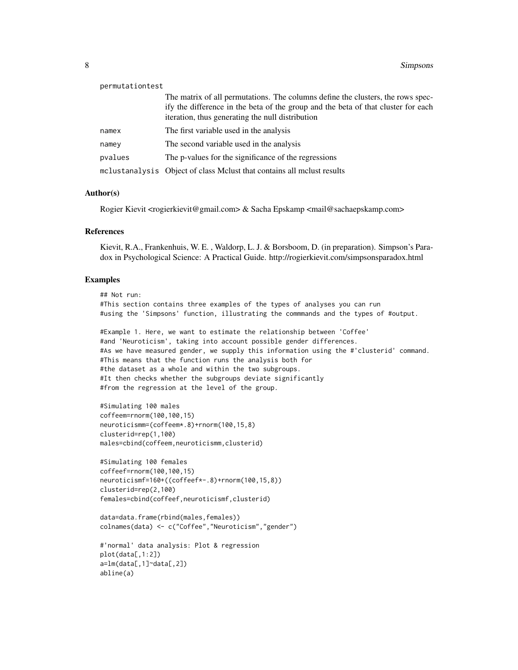| permutationtest |                                                                                                                                                                                                                          |
|-----------------|--------------------------------------------------------------------------------------------------------------------------------------------------------------------------------------------------------------------------|
|                 | The matrix of all permutations. The columns define the clusters, the rows spec-<br>ify the difference in the beta of the group and the beta of that cluster for each<br>iteration, thus generating the null distribution |
| namex           | The first variable used in the analysis                                                                                                                                                                                  |
| namey           | The second variable used in the analysis                                                                                                                                                                                 |
| pvalues         | The p-values for the significance of the regressions                                                                                                                                                                     |
|                 | melustanalysis Object of class Melust that contains all melust results                                                                                                                                                   |

#### Author(s)

Rogier Kievit <rogierkievit@gmail.com> & Sacha Epskamp <mail@sachaepskamp.com>

### References

Kievit, R.A., Frankenhuis, W. E. , Waldorp, L. J. & Borsboom, D. (in preparation). Simpson's Paradox in Psychological Science: A Practical Guide. http://rogierkievit.com/simpsonsparadox.html

#### Examples

```
## Not run:
#This section contains three examples of the types of analyses you can run
#using the 'Simpsons' function, illustrating the commmands and the types of #output.
#Example 1. Here, we want to estimate the relationship between 'Coffee'
#and 'Neuroticism', taking into account possible gender differences.
#As we have measured gender, we supply this information using the #'clusterid' command.
#This means that the function runs the analysis both for
#the dataset as a whole and within the two subgroups.
#It then checks whether the subgroups deviate significantly
#from the regression at the level of the group.
#Simulating 100 males
coffeem=rnorm(100,100,15)
neuroticismm=(coffeem*.8)+rnorm(100,15,8)
clusterid=rep(1,100)
males=cbind(coffeem,neuroticismm,clusterid)
#Simulating 100 females
coffeef=rnorm(100,100,15)
neuroticismf=160+((coffeef*-.8)+rnorm(100,15,8))
clusterid=rep(2,100)
females=cbind(coffeef,neuroticismf,clusterid)
```

```
data=data.frame(rbind(males,females))
colnames(data) <- c("Coffee","Neuroticism","gender")
```

```
#'normal' data analysis: Plot & regression
plot(data[,1:2])
a=lm(data[,1]~data[,2])
abline(a)
```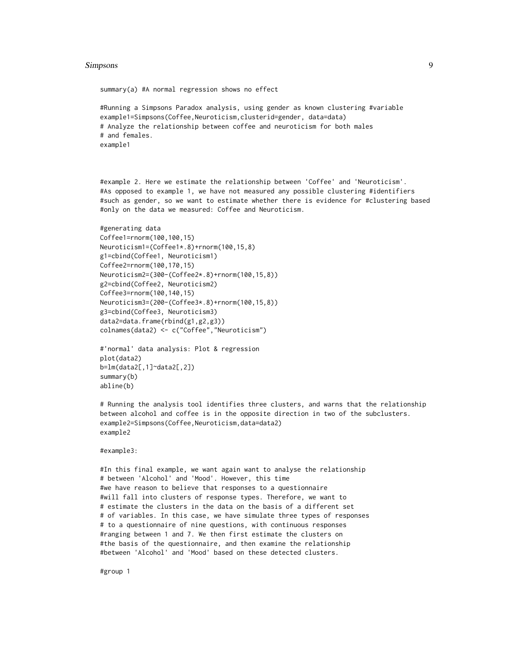#### Simpsons 9

#Running a Simpsons Paradox analysis, using gender as known clustering #variable example1=Simpsons(Coffee,Neuroticism,clusterid=gender, data=data) # Analyze the relationship between coffee and neuroticism for both males # and females. example1

#example 2. Here we estimate the relationship between 'Coffee' and 'Neuroticism'. #As opposed to example 1, we have not measured any possible clustering #identifiers #such as gender, so we want to estimate whether there is evidence for #clustering based #only on the data we measured: Coffee and Neuroticism.

```
#generating data
Coffee1=rnorm(100,100,15)
Neuroticism1=(Coffee1*.8)+rnorm(100,15,8)
g1=cbind(Coffee1, Neuroticism1)
Coffee2=rnorm(100,170,15)
Neuroticism2=(300-(Coffee2*.8)+rnorm(100,15,8))
g2=cbind(Coffee2, Neuroticism2)
Coffee3=rnorm(100,140,15)
Neuroticism3=(200-(Coffee3*.8)+rnorm(100,15,8))
g3=cbind(Coffee3, Neuroticism3)
data2=data.frame(rbind(g1,g2,g3))
colnames(data2) <- c("Coffee","Neuroticism")
```
summary(a) #A normal regression shows no effect

```
#'normal' data analysis: Plot & regression
plot(data2)
b=lm(data2[,1]~data2[,2])
summary(b)
abline(b)
```
# Running the analysis tool identifies three clusters, and warns that the relationship between alcohol and coffee is in the opposite direction in two of the subclusters. example2=Simpsons(Coffee,Neuroticism,data=data2) example2

#### #example3:

#In this final example, we want again want to analyse the relationship # between 'Alcohol' and 'Mood'. However, this time #we have reason to believe that responses to a questionnaire #will fall into clusters of response types. Therefore, we want to # estimate the clusters in the data on the basis of a different set # of variables. In this case, we have simulate three types of responses # to a questionnaire of nine questions, with continuous responses #ranging between 1 and 7. We then first estimate the clusters on #the basis of the questionnaire, and then examine the relationship #between 'Alcohol' and 'Mood' based on these detected clusters.

#group 1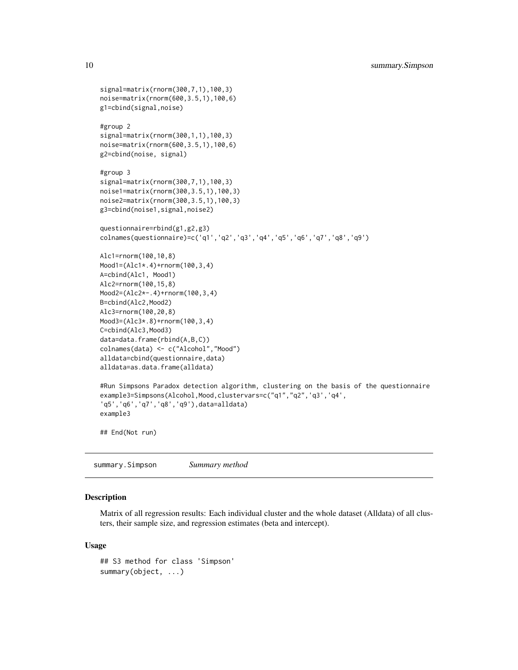```
signal=matrix(rnorm(300,7,1),100,3)
noise=matrix(rnorm(600,3.5,1),100,6)
g1=cbind(signal,noise)
#group 2
signal=matrix(rnorm(300,1,1),100,3)
noise=matrix(rnorm(600,3.5,1),100,6)
g2=cbind(noise, signal)
#group 3
signal=matrix(rnorm(300,7,1),100,3)
noise1=matrix(rnorm(300,3.5,1),100,3)
noise2=matrix(rnorm(300,3.5,1),100,3)
g3=cbind(noise1,signal,noise2)
questionnaire=rbind(g1,g2,g3)
colnames(questionnaire)=c('q1','q2','q3','q4','q5','q6','q7','q8','q9')
Alc1=rnorm(100,10,8)
Mood1=(Alc1*.4)+rnorm(100,3,4)
A=cbind(Alc1, Mood1)
Alc2=rnorm(100,15,8)
Mood2=(Alc2*-.4)+rnorm(100,3,4)
B=cbind(Alc2,Mood2)
Alc3=rnorm(100,20,8)
Mood3=(Alc3*.8)+rnorm(100,3,4)
C=cbind(Alc3,Mood3)
data=data.frame(rbind(A,B,C))
colnames(data) <- c("Alcohol","Mood")
alldata=cbind(questionnaire,data)
alldata=as.data.frame(alldata)
#Run Simpsons Paradox detection algorithm, clustering on the basis of the questionnaire
example3=Simpsons(Alcohol,Mood,clustervars=c("q1","q2",'q3','q4',
'q5','q6','q7','q8','q9'),data=alldata)
example3
## End(Not run)
```
summary.Simpson *Summary method*

# Description

Matrix of all regression results: Each individual cluster and the whole dataset (Alldata) of all clusters, their sample size, and regression estimates (beta and intercept).

# Usage

```
## S3 method for class 'Simpson'
summary(object, ...)
```
<span id="page-9-0"></span>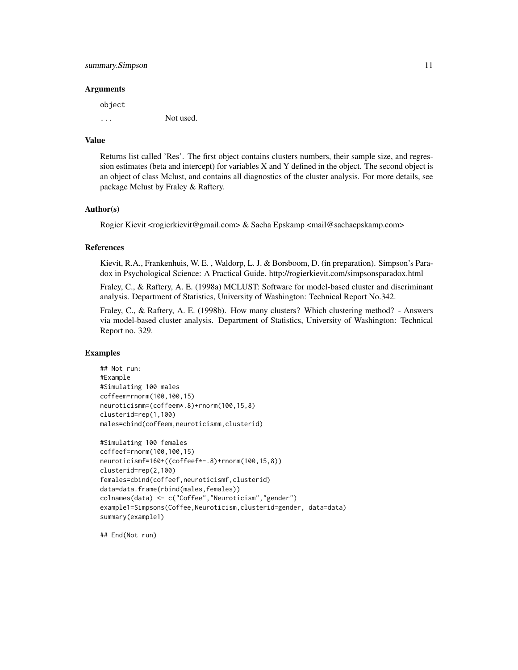#### summary. Simpson 11

#### Arguments

object ... Not used.

#### Value

Returns list called 'Res'. The first object contains clusters numbers, their sample size, and regression estimates (beta and intercept) for variables X and Y defined in the object. The second object is an object of class Mclust, and contains all diagnostics of the cluster analysis. For more details, see package Mclust by Fraley & Raftery.

#### Author(s)

Rogier Kievit <rogierkievit@gmail.com> & Sacha Epskamp <mail@sachaepskamp.com>

# References

Kievit, R.A., Frankenhuis, W. E. , Waldorp, L. J. & Borsboom, D. (in preparation). Simpson's Paradox in Psychological Science: A Practical Guide. http://rogierkievit.com/simpsonsparadox.html

Fraley, C., & Raftery, A. E. (1998a) MCLUST: Software for model-based cluster and discriminant analysis. Department of Statistics, University of Washington: Technical Report No.342.

Fraley, C., & Raftery, A. E. (1998b). How many clusters? Which clustering method? - Answers via model-based cluster analysis. Department of Statistics, University of Washington: Technical Report no. 329.

#### Examples

```
## Not run:
#Example
#Simulating 100 males
coffeem=rnorm(100,100,15)
neuroticismm=(coffeem*.8)+rnorm(100,15,8)
clusterid=rep(1,100)
males=cbind(coffeem,neuroticismm,clusterid)
```

```
#Simulating 100 females
coffeef=rnorm(100,100,15)
neuroticismf=160+((coffeef*-.8)+rnorm(100,15,8))
clusterid=rep(2,100)
females=cbind(coffeef,neuroticismf,clusterid)
data=data.frame(rbind(males,females))
colnames(data) <- c("Coffee","Neuroticism","gender")
example1=Simpsons(Coffee,Neuroticism,clusterid=gender, data=data)
summary(example1)
```
## End(Not run)